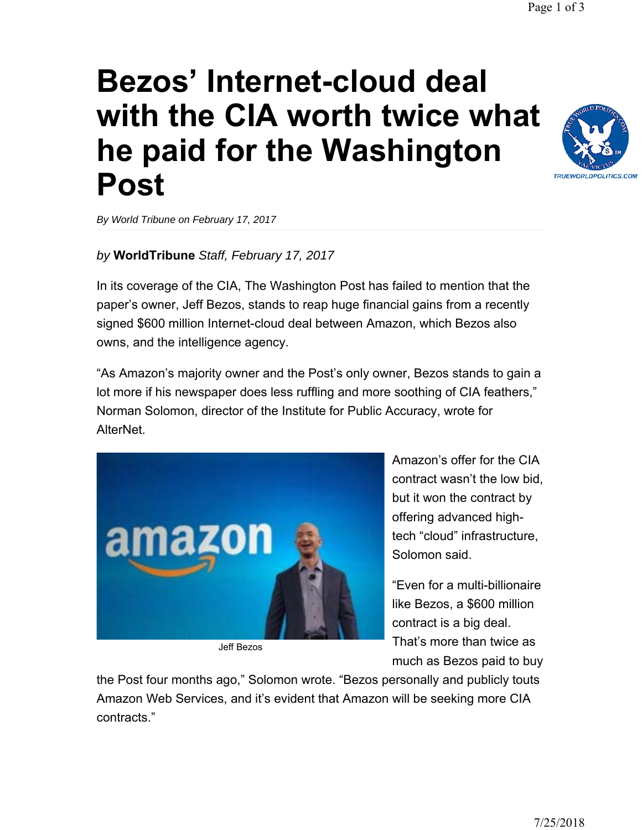## **Bezos' Internet-cloud deal with the CIA worth twice what [he paid for the Washington](http://www.worldtribune.com/bezos-internet-cloud-deal-with-the-cia-worth-twice-what-he-paid-for-the-washington-post/)  Post**

*By World Tribune on February 17, 2017*

## *by* **WorldTribune** *Staff, February 17, 2017*

In its coverage of the CIA, The Washington Post has failed to mention that the paper's owner, Jeff Bezos, stands to reap huge financial gains from a recently signed \$600 million Internet-cloud deal between Amazon, which Bezos also owns, and the intelligence agency.

"As Amazon's majority owner and the Post's only owner, Bezos stands to gain a lot more if his newspaper does less ruffling and more soothing of CIA feathers," Norman Solomon, director of the Institute for Public Accuracy, wrote for AlterNet.

> Amazon's offer for the CIA contract wasn't the low bid, but it won the contract by offering advanced hightech "cloud" infrastructure, Solomon said.

"Even for a multi-billionaire like Bezos, a \$600 million contract is a big deal. That's more than twice as much as Bezos paid to buy

the Post four months ago," Solomon wrote. "Bezos personally and publicly touts Amazon Web Services, and it's evident that Amazon will be seeking more CIA contracts."